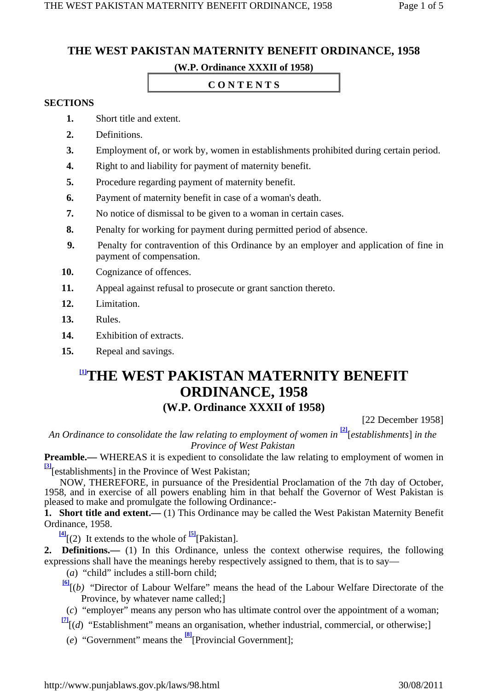# **THE WEST PAKISTAN MATERNITY BENEFIT ORDINANCE, 1958**

### **(W.P. Ordinance XXXII of 1958)**

#### **C O N T E N T S**

#### **SECTIONS**

- **1.** Short title and extent.
- **2.** Definitions.
- **3.** Employment of, or work by, women in establishments prohibited during certain period.
- **4.** Right to and liability for payment of maternity benefit.
- **5.** Procedure regarding payment of maternity benefit.
- **6.** Payment of maternity benefit in case of a woman's death.
- **7.** No notice of dismissal to be given to a woman in certain cases.
- **8.** Penalty for working for payment during permitted period of absence.
- **9.** Penalty for contravention of this Ordinance by an employer and application of fine in payment of compensation.
- **10.** Cognizance of offences.
- **11.** Appeal against refusal to prosecute or grant sanction thereto.
- **12.** Limitation.
- **13.** Rules.
- **14.** Exhibition of extracts.
- **15.** Repeal and savings.

## **[1]THE WEST PAKISTAN MATERNITY BENEFIT ORDINANCE, 1958 (W.P. Ordinance XXXII of 1958)**

[22 December 1958]

*An Ordinance to consolidate the law relating to employment of women in* **[2]** [*establishments*] *in the Province of West Pakistan*

**Preamble.—** WHEREAS it is expedient to consolidate the law relating to employment of women in **[3]**[establishments] in the Province of West Pakistan;

 NOW, THEREFORE, in pursuance of the Presidential Proclamation of the 7th day of October, 1958, and in exercise of all powers enabling him in that behalf the Governor of West Pakistan is pleased to make and promulgate the following Ordinance:-

**1. Short title and extent.—** (1) This Ordinance may be called the West Pakistan Maternity Benefit Ordinance, 1958.

 $\frac{[4]}{[2]}$  It extends to the whole of  $\frac{[5]}{[Pakistan]}$ .

2. **Definitions.**— (1) In this Ordinance, unless the context otherwise requires, the following expressions shall have the meanings hereby respectively assigned to them, that is to say—

(*a*) "child" includes a still-born child;

- **[6]** [(*b)* "Director of Labour Welfare" means the head of the Labour Welfare Directorate of the Province, by whatever name called;]
- (*c*) "employer" means any person who has ultimate control over the appointment of a woman;
- **[7]**[(*d*) "Establishment" means an organisation, whether industrial, commercial, or otherwise;]
	- (*e*) "Government" means the **[8]**[Provincial Government];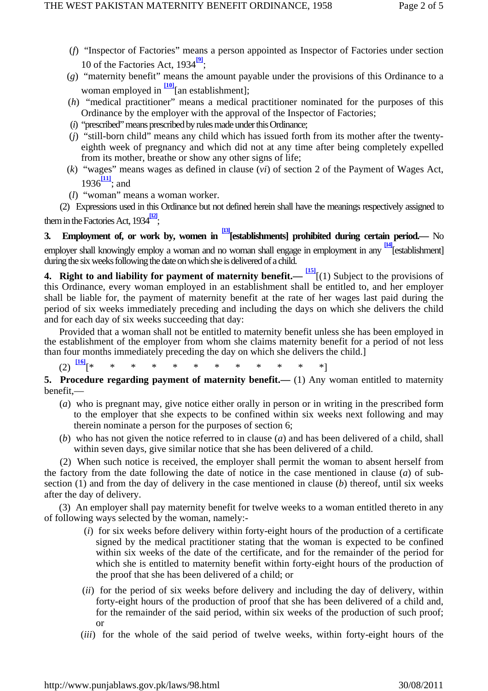- (*f*) "Inspector of Factories" means a person appointed as Inspector of Factories under section 10 of the Factories Act, 1934**[9]** ;
- (*g*) "maternity benefit" means the amount payable under the provisions of this Ordinance to a woman employed in  $\frac{100}{2}$ [an establishment];
- (*h*) "medical practitioner" means a medical practitioner nominated for the purposes of this Ordinance by the employer with the approval of the Inspector of Factories;
- (*i*) "prescribed" means prescribed by rules made under this Ordinance;
- (*j*) "still-born child" means any child which has issued forth from its mother after the twentyeighth week of pregnancy and which did not at any time after being completely expelled from its mother, breathe or show any other signs of life;
- (*k*) "wages" means wages as defined in clause (*vi*) of section 2 of the Payment of Wages Act,  $1936\frac{[11]}{[}$ ; and
- (*l*) "woman" means a woman worker.

 (2) Expressions used in this Ordinance but not defined herein shall have the meanings respectively assigned to them in the Factories Act, 1934<sup>[12]</sup>;

**3. Employment of, or work by, women in [13][establishments] prohibited during certain period.—** No employer shall knowingly employ a woman and no woman shall engage in employment in any **[14]**[establishment] during the six weeks following the date on which she is delivered of a child.

**4. Right to and liability for payment of maternity benefit.— [15]**[(1) Subject to the provisions of this Ordinance, every woman employed in an establishment shall be entitled to, and her employer shall be liable for, the payment of maternity benefit at the rate of her wages last paid during the period of six weeks immediately preceding and including the days on which she delivers the child and for each day of six weeks succeeding that day:

 Provided that a woman shall not be entitled to maternity benefit unless she has been employed in the establishment of the employer from whom she claims maternity benefit for a period of not less than four months immediately preceding the day on which she delivers the child.]

(2) **[16]**[\* \* \* \* \* \* \* \* \* \* \* \*]

**5. Procedure regarding payment of maternity benefit.**— (1) Any woman entitled to maternity benefit,—

- (*a*) who is pregnant may, give notice either orally in person or in writing in the prescribed form to the employer that she expects to be confined within six weeks next following and may therein nominate a person for the purposes of section 6;
- (*b*) who has not given the notice referred to in clause (*a*) and has been delivered of a child, shall within seven days, give similar notice that she has been delivered of a child.

 (2) When such notice is received, the employer shall permit the woman to absent herself from the factory from the date following the date of notice in the case mentioned in clause (*a*) of subsection (1) and from the day of delivery in the case mentioned in clause (*b*) thereof, until six weeks after the day of delivery.

 (3) An employer shall pay maternity benefit for twelve weeks to a woman entitled thereto in any of following ways selected by the woman, namely:-

- (*i*) for six weeks before delivery within forty-eight hours of the production of a certificate signed by the medical practitioner stating that the woman is expected to be confined within six weeks of the date of the certificate, and for the remainder of the period for which she is entitled to maternity benefit within forty-eight hours of the production of the proof that she has been delivered of a child; or
- (*ii*) for the period of six weeks before delivery and including the day of delivery, within forty-eight hours of the production of proof that she has been delivered of a child and, for the remainder of the said period, within six weeks of the production of such proof; or
- (*iii*) for the whole of the said period of twelve weeks, within forty-eight hours of the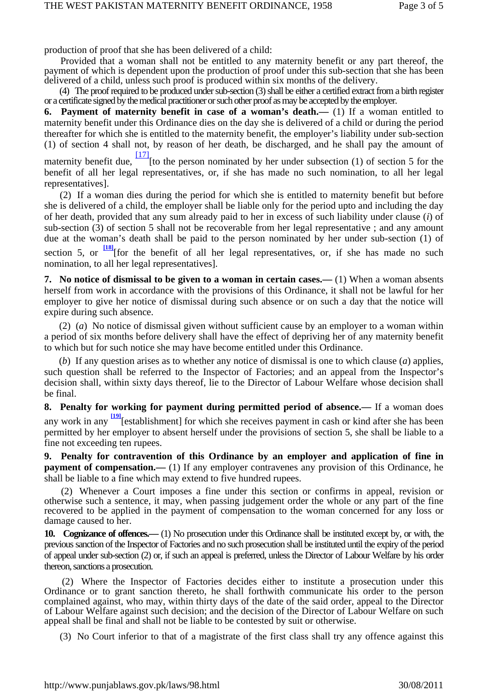production of proof that she has been delivered of a child:

 Provided that a woman shall not be entitled to any maternity benefit or any part thereof, the payment of which is dependent upon the production of proof under this sub-section that she has been delivered of a child, unless such proof is produced within six months of the delivery.

 (4) The proof required to be produced under sub-section (3) shall be either a certified extract from a birth register or a certificate signed by the medical practitioner or such other proof as may be accepted by the employer.

**6. Payment of maternity benefit in case of a woman's death.—** (1) If a woman entitled to maternity benefit under this Ordinance dies on the day she is delivered of a child or during the period thereafter for which she is entitled to the maternity benefit, the employer's liability under sub-section (1) of section 4 shall not, by reason of her death, be discharged, and he shall pay the amount of

maternity benefit due,  $\frac{[17]}{[}$  [to the person nominated by her under subsection (1) of section 5 for the benefit of all her legal representatives, or, if she has made no such nomination, to all her legal representatives].

 (2) If a woman dies during the period for which she is entitled to maternity benefit but before she is delivered of a child, the employer shall be liable only for the period upto and including the day of her death, provided that any sum already paid to her in excess of such liability under clause (*i*) of sub-section (3) of section 5 shall not be recoverable from her legal representative ; and any amount due at the woman's death shall be paid to the person nominated by her under sub-section (1) of section 5, or  $\frac{18}{18}$  [for the benefit of all her legal representatives, or, if she has made no such nomination, to all her legal representatives].

**7. No notice of dismissal to be given to a woman in certain cases.—** (1) When a woman absents herself from work in accordance with the provisions of this Ordinance, it shall not be lawful for her employer to give her notice of dismissal during such absence or on such a day that the notice will expire during such absence.

 (2) (*a*) No notice of dismissal given without sufficient cause by an employer to a woman within a period of six months before delivery shall have the effect of depriving her of any maternity benefit to which but for such notice she may have become entitled under this Ordinance.

 (*b*) If any question arises as to whether any notice of dismissal is one to which clause (*a*) applies, such question shall be referred to the Inspector of Factories; and an appeal from the Inspector's decision shall, within sixty days thereof, lie to the Director of Labour Welfare whose decision shall be final.

**8. Penalty for working for payment during permitted period of absence.—** If a woman does any work in any **[19]** [establishment] for which she receives payment in cash or kind after she has been permitted by her employer to absent herself under the provisions of section 5, she shall be liable to a fine not exceeding ten rupees.

**9. Penalty for contravention of this Ordinance by an employer and application of fine in payment of compensation.—** (1) If any employer contravenes any provision of this Ordinance, he shall be liable to a fine which may extend to five hundred rupees.

 (2) Whenever a Court imposes a fine under this section or confirms in appeal, revision or otherwise such a sentence, it may, when passing judgement order the whole or any part of the fine recovered to be applied in the payment of compensation to the woman concerned for any loss or damage caused to her.

**10. Cognizance of offences.—** (1) No prosecution under this Ordinance shall be instituted except by, or with, the previous sanction of the Inspector of Factories and no such prosecution shall be instituted until the expiry of the period of appeal under sub-section (2) or, if such an appeal is preferred, unless the Director of Labour Welfare by his order thereon, sanctions a prosecution.

 (2) Where the Inspector of Factories decides either to institute a prosecution under this Ordinance or to grant sanction thereto, he shall forthwith communicate his order to the person complained against, who may, within thirty days of the date of the said order, appeal to the Director of Labour Welfare against such decision; and the decision of the Director of Labour Welfare on such appeal shall be final and shall not be liable to be contested by suit or otherwise.

(3) No Court inferior to that of a magistrate of the first class shall try any offence against this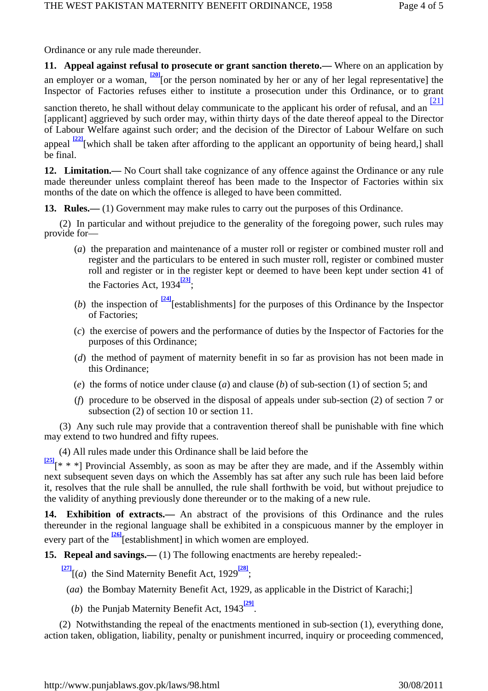Ordinance or any rule made thereunder.

**11. Appeal against refusal to prosecute or grant sanction thereto.—** Where on an application by an employer or a woman, <sup>[20]</sup>[or the person nominated by her or any of her legal representative] the Inspector of Factories refuses either to institute a prosecution under this Ordinance, or to grant

sanction thereto, he shall without delay communicate to the applicant his order of refusal, and an [21] [applicant] aggrieved by such order may, within thirty days of the date thereof appeal to the Director of Labour Welfare against such order; and the decision of the Director of Labour Welfare on such appeal <sup>[22]</sup>[which shall be taken after affording to the applicant an opportunity of being heard,] shall be final.

12. Limitation.— No Court shall take cognizance of any offence against the Ordinance or any rule made thereunder unless complaint thereof has been made to the Inspector of Factories within six months of the date on which the offence is alleged to have been committed.

13. **Rules.**—(1) Government may make rules to carry out the purposes of this Ordinance.

 (2) In particular and without prejudice to the generality of the foregoing power, such rules may provide for—

- (*a*) the preparation and maintenance of a muster roll or register or combined muster roll and register and the particulars to be entered in such muster roll, register or combined muster roll and register or in the register kept or deemed to have been kept under section 41 of the Factories Act, 1934<sup>[23]</sup>;
- (*b*) the inspection of **[24]**[establishments] for the purposes of this Ordinance by the Inspector of Factories;
- (*c*) the exercise of powers and the performance of duties by the Inspector of Factories for the purposes of this Ordinance;
- (*d*) the method of payment of maternity benefit in so far as provision has not been made in this Ordinance;
- (*e*) the forms of notice under clause (*a*) and clause (*b*) of sub-section (1) of section 5; and
- (*f*) procedure to be observed in the disposal of appeals under sub-section (2) of section 7 or subsection (2) of section 10 or section 11.

 (3) Any such rule may provide that a contravention thereof shall be punishable with fine which may extend to two hundred and fifty rupees.

(4) All rules made under this Ordinance shall be laid before the

**[25]**[\* \* \*] Provincial Assembly, as soon as may be after they are made, and if the Assembly within next subsequent seven days on which the Assembly has sat after any such rule has been laid before it, resolves that the rule shall be annulled, the rule shall forthwith be void, but without prejudice to the validity of anything previously done thereunder or to the making of a new rule.

**14. Exhibition of extracts.—** An abstract of the provisions of this Ordinance and the rules thereunder in the regional language shall be exhibited in a conspicuous manner by the employer in every part of the <sup>[26]</sup>[establishment] in which women are employed.

**15. Repeal and savings.—** (1) The following enactments are hereby repealed:-

**[27]**[(*a*) the Sind Maternity Benefit Act, 1929**[28]** ;

(*aa*) the Bombay Maternity Benefit Act, 1929, as applicable in the District of Karachi;]

(*b*) the Punjab Maternity Benefit Act, 1943<sup>[29]</sup>

 (2) Notwithstanding the repeal of the enactments mentioned in sub-section (1), everything done, action taken, obligation, liability, penalty or punishment incurred, inquiry or proceeding commenced,